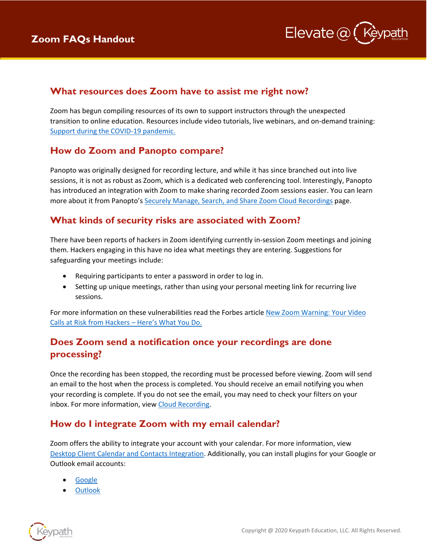

#### **What resources does Zoom have to assist me right now?**

Zoom has begun compiling resources of its own to support instructors through the unexpected transition to online education. Resources include video tutorials, live webinars, and on-demand training: [Support during the COVID-19 pandemic.](https://zoom.us/docs/en-us/covid19.html)

### **How do Zoom and Panopto compare?**

Panopto was originally designed for recording lecture, and while it has since branched out into live sessions, it is not as robust as Zoom, which is a dedicated web conferencing tool. Interestingly, Panopto has introduced an integration with Zoom to make sharing recorded Zoom sessions easier. You can learn more about it from Panopto's [Securely Manage, Search, and Share Zoom Cloud Recordings](https://www.panopto.com/features/integration/zoom/) page.

# **What kinds of security risks are associated with Zoom?**

There have been reports of hackers in Zoom identifying currently in-session Zoom meetings and joining them. Hackers engaging in this have no idea what meetings they are entering. Suggestions for safeguarding your meetings include:

- Requiring participants to enter a password in order to log in.
- Setting up unique meetings, rather than using your personal meeting link for recurring live sessions.

For more information on these vulnerabilities read the Forbes article [New Zoom Warning: Your Video](https://www.forbes.com/sites/zakdoffman/2020/01/28/new-zoom-roulette-security-warning-your-video-calls-at-risk-from-hackers-heres-what-you-do/#2065a51e7343)  [Calls at Risk from Hackers –](https://www.forbes.com/sites/zakdoffman/2020/01/28/new-zoom-roulette-security-warning-your-video-calls-at-risk-from-hackers-heres-what-you-do/#2065a51e7343) Here's What You Do.

## **Does Zoom send a notification once your recordings are done processing?**

Once the recording has been stopped, the recording must be processed before viewing. Zoom will send an email to the host when the process is completed. You should receive an email notifying you when your recording is complete. If you do not see the email, you may need to check your filters on your inbox. For more information, view [Cloud Recording.](https://support.zoom.us/hc/en-us/articles/203741855-Cloud-recording)

### **How do I integrate Zoom with my email calendar?**

Zoom offers the ability to integrate your account with your calendar. For more information, view [Desktop Client Calendar and Contacts Integration.](https://support.zoom.us/hc/en-us/articles/360000488243-Desktop-Client-Calendar-and-Contacts-Integration) Additionally, you can install plugins for your Google or Outlook email accounts:

- **[Google](https://support.zoom.us/hc/en-us/articles/360020187492-Google-Calendar-add-on)**
- **[Outlook](https://support.zoom.us/hc/en-us/articles/200881399-Microsoft-Outlook-plugin-desktop-)**